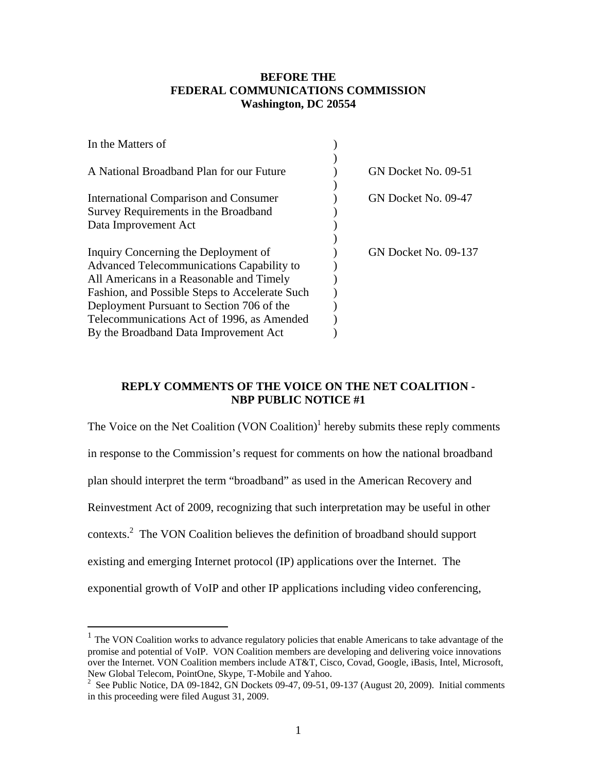# **BEFORE THE FEDERAL COMMUNICATIONS COMMISSION Washington, DC 20554**

| In the Matters of                                |                             |
|--------------------------------------------------|-----------------------------|
|                                                  |                             |
| A National Broadband Plan for our Future         | GN Docket No. 09-51         |
|                                                  |                             |
| <b>International Comparison and Consumer</b>     | GN Docket No. 09-47         |
| Survey Requirements in the Broadband             |                             |
| Data Improvement Act                             |                             |
|                                                  |                             |
| Inquiry Concerning the Deployment of             | <b>GN Docket No. 09-137</b> |
| <b>Advanced Telecommunications Capability to</b> |                             |
| All Americans in a Reasonable and Timely         |                             |
| Fashion, and Possible Steps to Accelerate Such   |                             |
| Deployment Pursuant to Section 706 of the        |                             |
| Telecommunications Act of 1996, as Amended       |                             |
| By the Broadband Data Improvement Act            |                             |
|                                                  |                             |

# **REPLY COMMENTS OF THE VOICE ON THE NET COALITION - NBP PUBLIC NOTICE #1**

The Voice on the Net Coalition  $(VON$  Coalition)<sup>1</sup> hereby submits these reply comments in response to the Commission's request for comments on how the national broadband plan should interpret the term "broadband" as used in the American Recovery and Reinvestment Act of 2009, recognizing that such interpretation may be useful in other contexts. $2$  The VON Coalition believes the definition of broadband should support existing and emerging Internet protocol (IP) applications over the Internet. The exponential growth of VoIP and other IP applications including video conferencing,

 $\overline{a}$ 

<sup>&</sup>lt;sup>1</sup> The VON Coalition works to advance regulatory policies that enable Americans to take advantage of the promise and potential of VoIP. VON Coalition members are developing and delivering voice innovations over the Internet. VON Coalition members include AT&T, Cisco, Covad, Google, iBasis, Intel, Microsoft, New Global Telecom, PointOne, Skype, T-Mobile and Yahoo.

<sup>&</sup>lt;sup>2</sup> See Public Notice, DA 09-1842, GN Dockets 09-47, 09-51, 09-137 (August 20, 2009). Initial comments in this proceeding were filed August 31, 2009.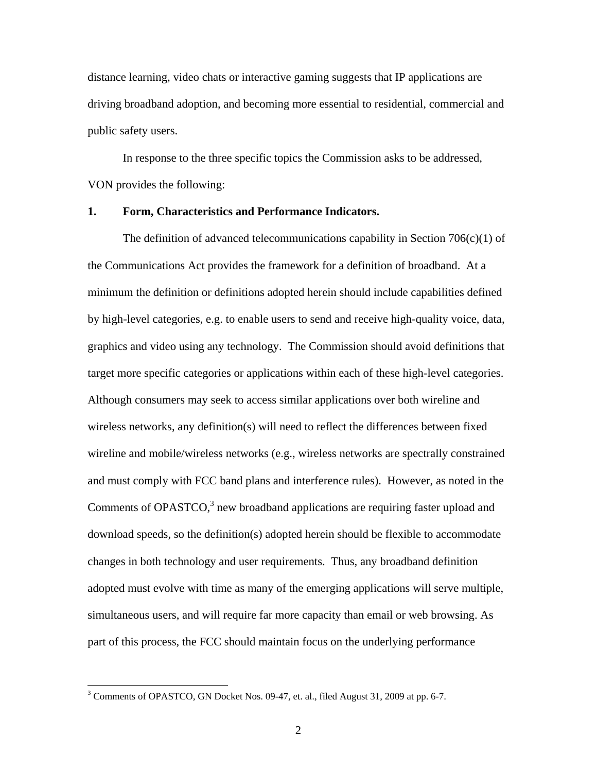distance learning, video chats or interactive gaming suggests that IP applications are driving broadband adoption, and becoming more essential to residential, commercial and public safety users.

 In response to the three specific topics the Commission asks to be addressed, VON provides the following:

# **1. Form, Characteristics and Performance Indicators.**

The definition of advanced telecommunications capability in Section  $706(c)(1)$  of the Communications Act provides the framework for a definition of broadband. At a minimum the definition or definitions adopted herein should include capabilities defined by high-level categories, e.g. to enable users to send and receive high-quality voice, data, graphics and video using any technology. The Commission should avoid definitions that target more specific categories or applications within each of these high-level categories. Although consumers may seek to access similar applications over both wireline and wireless networks, any definition(s) will need to reflect the differences between fixed wireline and mobile/wireless networks (e.g., wireless networks are spectrally constrained and must comply with FCC band plans and interference rules). However, as noted in the Comments of OPASTCO, $3$  new broadband applications are requiring faster upload and download speeds, so the definition(s) adopted herein should be flexible to accommodate changes in both technology and user requirements. Thus, any broadband definition adopted must evolve with time as many of the emerging applications will serve multiple, simultaneous users, and will require far more capacity than email or web browsing. As part of this process, the FCC should maintain focus on the underlying performance

 $\overline{a}$ 

 $3$  Comments of OPASTCO, GN Docket Nos. 09-47, et. al., filed August 31, 2009 at pp. 6-7.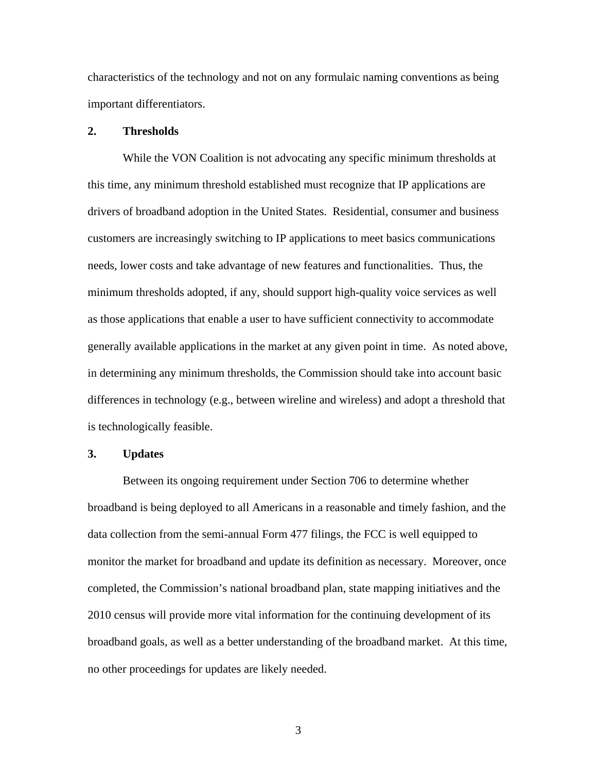characteristics of the technology and not on any formulaic naming conventions as being important differentiators.

### **2. Thresholds**

While the VON Coalition is not advocating any specific minimum thresholds at this time, any minimum threshold established must recognize that IP applications are drivers of broadband adoption in the United States. Residential, consumer and business customers are increasingly switching to IP applications to meet basics communications needs, lower costs and take advantage of new features and functionalities. Thus, the minimum thresholds adopted, if any, should support high-quality voice services as well as those applications that enable a user to have sufficient connectivity to accommodate generally available applications in the market at any given point in time. As noted above, in determining any minimum thresholds, the Commission should take into account basic differences in technology (e.g., between wireline and wireless) and adopt a threshold that is technologically feasible.

#### **3. Updates**

 Between its ongoing requirement under Section 706 to determine whether broadband is being deployed to all Americans in a reasonable and timely fashion, and the data collection from the semi-annual Form 477 filings, the FCC is well equipped to monitor the market for broadband and update its definition as necessary. Moreover, once completed, the Commission's national broadband plan, state mapping initiatives and the 2010 census will provide more vital information for the continuing development of its broadband goals, as well as a better understanding of the broadband market. At this time, no other proceedings for updates are likely needed.

3